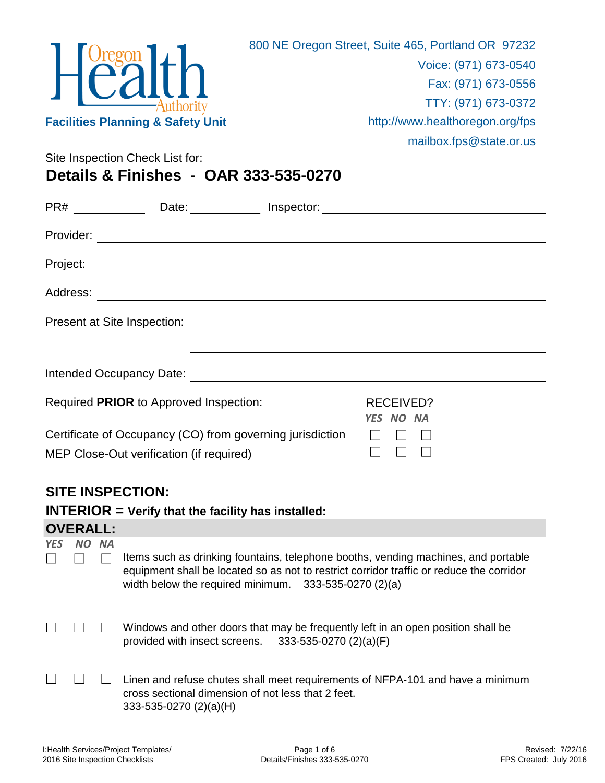

Site Inspection Check List for:

**Details & Finishes - OAR 333-535-0270**

|                                                      | Date: Inspector: Inspector:                                                                                           |  |                                      |  |
|------------------------------------------------------|-----------------------------------------------------------------------------------------------------------------------|--|--------------------------------------|--|
|                                                      |                                                                                                                       |  |                                      |  |
| Project:                                             | <u> 1989 - Johann Harry Harry Harry Harry Harry Harry Harry Harry Harry Harry Harry Harry Harry Harry Harry Harry</u> |  |                                      |  |
|                                                      |                                                                                                                       |  |                                      |  |
| Present at Site Inspection:                          |                                                                                                                       |  |                                      |  |
|                                                      |                                                                                                                       |  |                                      |  |
|                                                      |                                                                                                                       |  |                                      |  |
|                                                      | Required PRIOR to Approved Inspection:                                                                                |  | <b>RECEIVED?</b><br><b>YES NO NA</b> |  |
|                                                      | Certificate of Occupancy (CO) from governing jurisdiction                                                             |  |                                      |  |
|                                                      | MEP Close-Out verification (if required)                                                                              |  |                                      |  |
| <b>SITE INSPECTION:</b>                              |                                                                                                                       |  |                                      |  |
| $INTERIOR = Verify that the facility has installed:$ |                                                                                                                       |  |                                      |  |
| <b>OVERALL:</b>                                      |                                                                                                                       |  |                                      |  |
| YES NO NA                                            |                                                                                                                       |  |                                      |  |

 $\Box$  $\Box$ Items such as drinking fountains, telephone booths, vending machines, and portable  $\Box$ equipment shall be located so as not to restrict corridor traffic or reduce the corridor width below the required minimum. 333-535-0270 (2)(a)

- $\Box$  $\Box$ Windows and other doors that may be frequently left in an open position shall be provided with insect screens. 333-535-0270 (2)(a)(F)
- $\Box$  $\Box$  $\Box$ Linen and refuse chutes shall meet requirements of NFPA-101 and have a minimum cross sectional dimension of not less that 2 feet. 333-535-0270 (2)(a)(H)

 $\Box$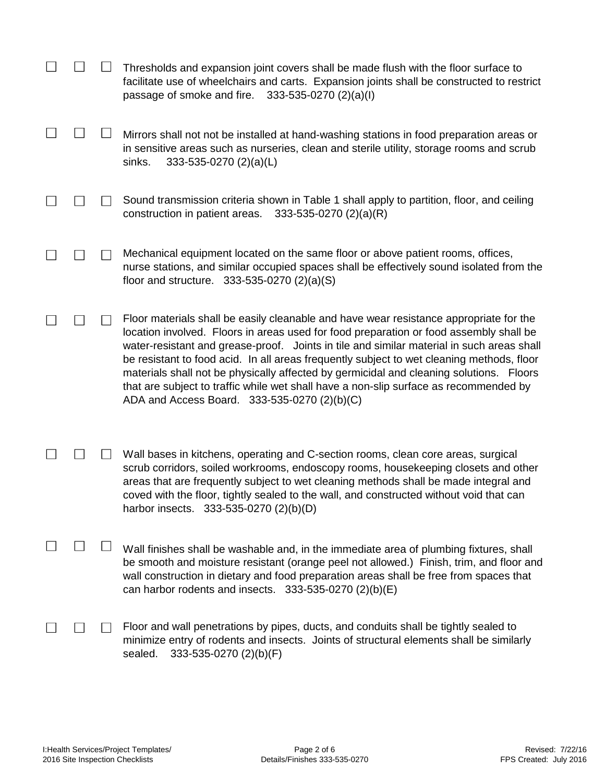|  | Thresholds and expansion joint covers shall be made flush with the floor surface to<br>facilitate use of wheelchairs and carts. Expansion joints shall be constructed to restrict<br>$333-535-0270$ (2)(a)(l)<br>passage of smoke and fire.                                                                                                                                                                                                                                                                                                                                                                    |
|--|----------------------------------------------------------------------------------------------------------------------------------------------------------------------------------------------------------------------------------------------------------------------------------------------------------------------------------------------------------------------------------------------------------------------------------------------------------------------------------------------------------------------------------------------------------------------------------------------------------------|
|  | Mirrors shall not not be installed at hand-washing stations in food preparation areas or<br>in sensitive areas such as nurseries, clean and sterile utility, storage rooms and scrub<br>333-535-0270 (2)(a)(L)<br>sinks.                                                                                                                                                                                                                                                                                                                                                                                       |
|  | Sound transmission criteria shown in Table 1 shall apply to partition, floor, and ceiling<br>construction in patient areas.<br>$333-535-0270$ (2)(a)(R)                                                                                                                                                                                                                                                                                                                                                                                                                                                        |
|  | Mechanical equipment located on the same floor or above patient rooms, offices,<br>nurse stations, and similar occupied spaces shall be effectively sound isolated from the<br>floor and structure. $333-535-0270$ (2)(a)(S)                                                                                                                                                                                                                                                                                                                                                                                   |
|  | Floor materials shall be easily cleanable and have wear resistance appropriate for the<br>location involved. Floors in areas used for food preparation or food assembly shall be<br>water-resistant and grease-proof. Joints in tile and similar material in such areas shall<br>be resistant to food acid. In all areas frequently subject to wet cleaning methods, floor<br>materials shall not be physically affected by germicidal and cleaning solutions. Floors<br>that are subject to traffic while wet shall have a non-slip surface as recommended by<br>ADA and Access Board. 333-535-0270 (2)(b)(C) |
|  | Wall bases in kitchens, operating and C-section rooms, clean core areas, surgical<br>scrub corridors, soiled workrooms, endoscopy rooms, housekeeping closets and other<br>areas that are frequently subject to wet cleaning methods shall be made integral and<br>coved with the floor, tightly sealed to the wall, and constructed without void that can<br>harbor insects. 333-535-0270 (2)(b)(D)                                                                                                                                                                                                           |
|  | Wall finishes shall be washable and, in the immediate area of plumbing fixtures, shall<br>be smooth and moisture resistant (orange peel not allowed.) Finish, trim, and floor and<br>wall construction in dietary and food preparation areas shall be free from spaces that<br>can harbor rodents and insects. $333-535-0270$ (2)(b)(E)                                                                                                                                                                                                                                                                        |
|  | Floor and wall penetrations by pipes, ducts, and conduits shall be tightly sealed to<br>minimize entry of rodents and insects. Joints of structural elements shall be similarly<br>sealed.<br>333-535-0270 (2)(b)(F)                                                                                                                                                                                                                                                                                                                                                                                           |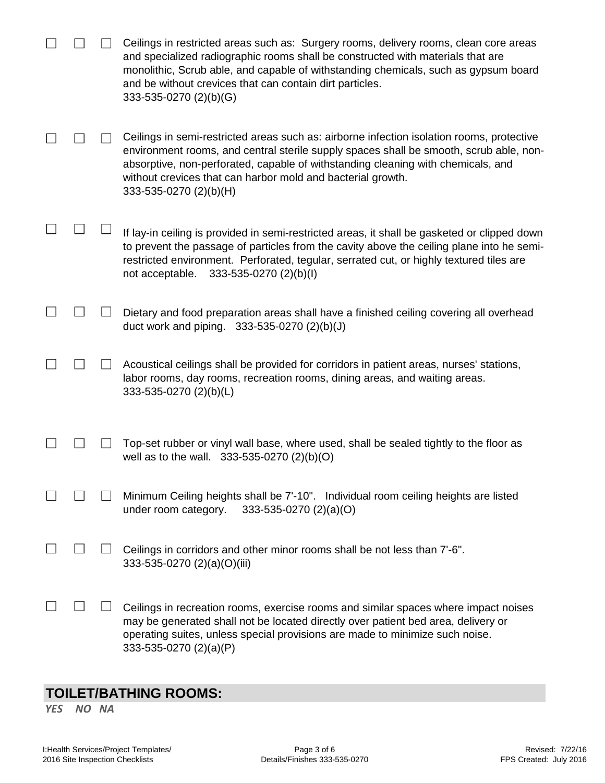|  | Ceilings in restricted areas such as: Surgery rooms, delivery rooms, clean core areas<br>and specialized radiographic rooms shall be constructed with materials that are<br>monolithic, Scrub able, and capable of withstanding chemicals, such as gypsum board<br>and be without crevices that can contain dirt particles.<br>333-535-0270 (2)(b)(G)            |
|--|------------------------------------------------------------------------------------------------------------------------------------------------------------------------------------------------------------------------------------------------------------------------------------------------------------------------------------------------------------------|
|  | Ceilings in semi-restricted areas such as: airborne infection isolation rooms, protective<br>environment rooms, and central sterile supply spaces shall be smooth, scrub able, non-<br>absorptive, non-perforated, capable of withstanding cleaning with chemicals, and<br>without crevices that can harbor mold and bacterial growth.<br>333-535-0270 (2)(b)(H) |
|  | If lay-in ceiling is provided in semi-restricted areas, it shall be gasketed or clipped down<br>to prevent the passage of particles from the cavity above the ceiling plane into he semi-<br>restricted environment. Perforated, tegular, serrated cut, or highly textured tiles are<br>333-535-0270 (2)(b)(l)<br>not acceptable.                                |
|  | Dietary and food preparation areas shall have a finished ceiling covering all overhead<br>duct work and piping. 333-535-0270 (2)(b)(J)                                                                                                                                                                                                                           |
|  | Acoustical ceilings shall be provided for corridors in patient areas, nurses' stations,<br>labor rooms, day rooms, recreation rooms, dining areas, and waiting areas.<br>333-535-0270 (2)(b)(L)                                                                                                                                                                  |
|  | Top-set rubber or vinyl wall base, where used, shall be sealed tightly to the floor as<br>well as to the wall. 333-535-0270 (2)(b)(O)                                                                                                                                                                                                                            |
|  | Minimum Ceiling heights shall be 7'-10". Individual room ceiling heights are listed<br>under room category.<br>333-535-0270 $(2)(a)(O)$                                                                                                                                                                                                                          |
|  | Ceilings in corridors and other minor rooms shall be not less than 7'-6".<br>333-535-0270 (2)(a)(O)(iii)                                                                                                                                                                                                                                                         |
|  | Ceilings in recreation rooms, exercise rooms and similar spaces where impact noises<br>may be generated shall not be located directly over patient bed area, delivery or<br>operating suites, unless special provisions are made to minimize such noise.<br>333-535-0270 (2)(a)(P)                                                                               |

# **TOILET/BATHING ROOMS:**

*YES NO NA*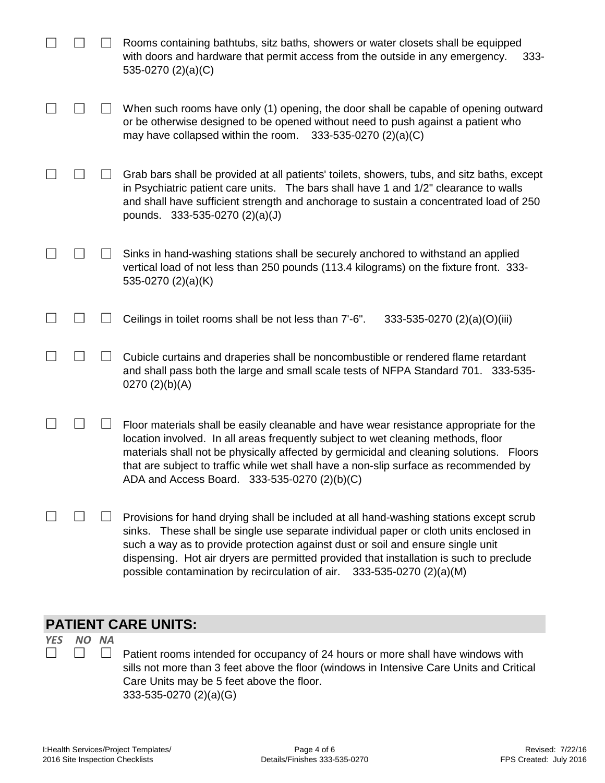|  | Rooms containing bathtubs, sitz baths, showers or water closets shall be equipped<br>with doors and hardware that permit access from the outside in any emergency.<br>$333 -$<br>535-0270 (2)(a)(C)                                                                                                                                                                                                                                     |
|--|-----------------------------------------------------------------------------------------------------------------------------------------------------------------------------------------------------------------------------------------------------------------------------------------------------------------------------------------------------------------------------------------------------------------------------------------|
|  | When such rooms have only (1) opening, the door shall be capable of opening outward<br>or be otherwise designed to be opened without need to push against a patient who<br>may have collapsed within the room.<br>$333 - 535 - 0270$ (2)(a)(C)                                                                                                                                                                                          |
|  | Grab bars shall be provided at all patients' toilets, showers, tubs, and sitz baths, except<br>in Psychiatric patient care units. The bars shall have 1 and 1/2" clearance to walls<br>and shall have sufficient strength and anchorage to sustain a concentrated load of 250<br>pounds. 333-535-0270 (2)(a)(J)                                                                                                                         |
|  | Sinks in hand-washing stations shall be securely anchored to withstand an applied<br>vertical load of not less than 250 pounds (113.4 kilograms) on the fixture front. 333-<br>535-0270 (2)(a)(K)                                                                                                                                                                                                                                       |
|  | Ceilings in toilet rooms shall be not less than 7'-6".<br>333-535-0270 (2)(a)(O)(iii)                                                                                                                                                                                                                                                                                                                                                   |
|  | Cubicle curtains and draperies shall be noncombustible or rendered flame retardant<br>and shall pass both the large and small scale tests of NFPA Standard 701. 333-535-<br>0270(2)(b)(A)                                                                                                                                                                                                                                               |
|  | Floor materials shall be easily cleanable and have wear resistance appropriate for the<br>location involved. In all areas frequently subject to wet cleaning methods, floor<br>materials shall not be physically affected by germicidal and cleaning solutions. Floors<br>that are subject to traffic while wet shall have a non-slip surface as recommended by<br>ADA and Access Board. 333-535-0270 (2)(b)(C)                         |
|  | Provisions for hand drying shall be included at all hand-washing stations except scrub<br>sinks. These shall be single use separate individual paper or cloth units enclosed in<br>such a way as to provide protection against dust or soil and ensure single unit<br>dispensing. Hot air dryers are permitted provided that installation is such to preclude<br>possible contamination by recirculation of air. 333-535-0270 (2)(a)(M) |

## **PATIENT CARE UNITS:**

*YES NO NA*

 $\Box$  Patient rooms intended for occupancy of 24 hours or more shall have windows with sills not more than 3 feet above the floor (windows in Intensive Care Units and Critical Care Units may be 5 feet above the floor. 333-535-0270 (2)(a)(G)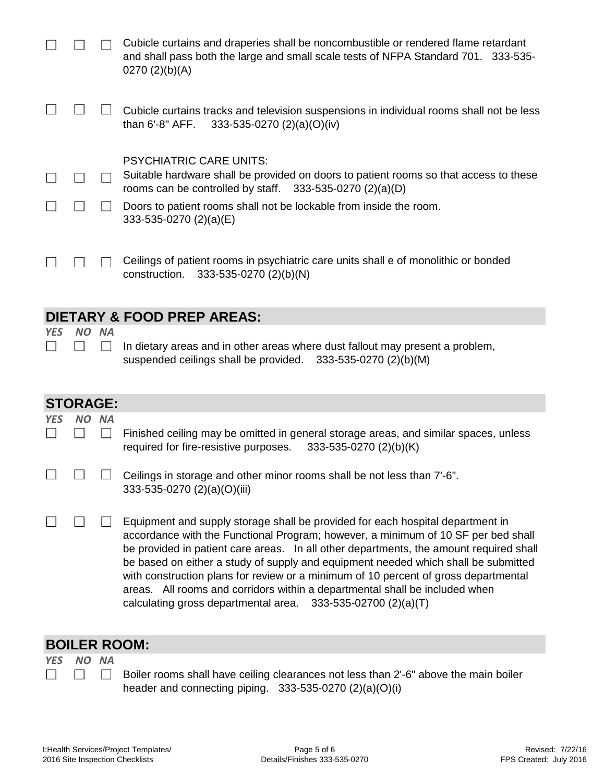|  | Cubicle curtains and draperies shall be noncombustible or rendered flame retardant<br>and shall pass both the large and small scale tests of NFPA Standard 701. 333-535-<br>0270(2)(b)(A) |
|--|-------------------------------------------------------------------------------------------------------------------------------------------------------------------------------------------|
|  | Cubicle curtains tracks and television suspensions in individual rooms shall not be less<br>than 6'-8" AFF. 333-535-0270 $(2)(a)(O)(iv)$                                                  |
|  | <b>PSYCHIATRIC CARE UNITS:</b>                                                                                                                                                            |
|  | Suitable hardware shall be provided on doors to patient rooms so that access to these<br>rooms can be controlled by staff. $333-535-0270$ (2)(a)(D)                                       |
|  | Doors to patient rooms shall not be lockable from inside the room.<br>333-535-0270 (2)(a)(E)                                                                                              |
|  | Ceilings of patient rooms in psychiatric care units shall e of monolithic or bonded<br>333-535-0270 (2)(b)(N)<br>construction.                                                            |
|  |                                                                                                                                                                                           |

### **DIETARY & FOOD PREP AREAS:**

| YFS | <b>NA</b><br>NO. |  |
|-----|------------------|--|
|     |                  |  |

In dietary areas and in other areas where dust fallout may present a problem,  $\Box$ suspended ceilings shall be provided. 333-535-0270 (2)(b)(M)

|            | <b>STORAGE:</b> |  |                                                                                                                                                                                                                                                                                                                                                                                                                                                                                                                                                                                             |  |
|------------|-----------------|--|---------------------------------------------------------------------------------------------------------------------------------------------------------------------------------------------------------------------------------------------------------------------------------------------------------------------------------------------------------------------------------------------------------------------------------------------------------------------------------------------------------------------------------------------------------------------------------------------|--|
| <b>YES</b> | NO NA           |  | Finished ceiling may be omitted in general storage areas, and similar spaces, unless<br>required for fire-resistive purposes. 333-535-0270 (2)(b)(K)                                                                                                                                                                                                                                                                                                                                                                                                                                        |  |
|            |                 |  | Ceilings in storage and other minor rooms shall be not less than 7'-6".<br>333-535-0270 (2)(a)(O)(iii)                                                                                                                                                                                                                                                                                                                                                                                                                                                                                      |  |
|            |                 |  | Equipment and supply storage shall be provided for each hospital department in<br>accordance with the Functional Program; however, a minimum of 10 SF per bed shall<br>be provided in patient care areas. In all other departments, the amount required shall<br>be based on either a study of supply and equipment needed which shall be submitted<br>with construction plans for review or a minimum of 10 percent of gross departmental<br>areas. All rooms and corridors within a departmental shall be included when<br>calculating gross departmental area. $333-535-02700$ (2)(a)(T) |  |

## **BOILER ROOM:**

 $\Box$ 

*YES NO NA*  $\Box$ 

 $\Box$ 

Boiler rooms shall have ceiling clearances not less than 2'-6" above the main boiler header and connecting piping. 333-535-0270 (2)(a)(O)(i)